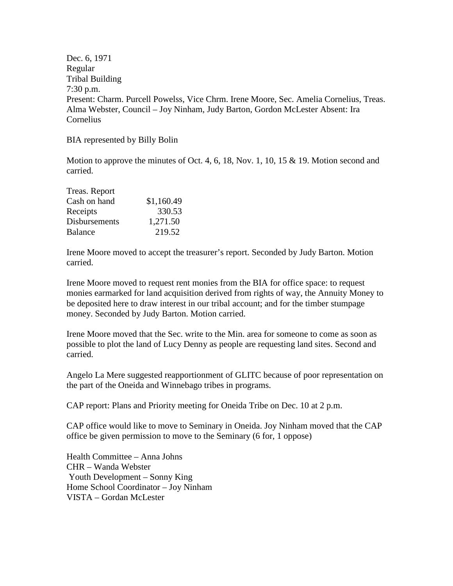Dec. 6, 1971 Regular Tribal Building 7:30 p.m. Present: Charm. Purcell Powelss, Vice Chrm. Irene Moore, Sec. Amelia Cornelius, Treas. Alma Webster, Council – Joy Ninham, Judy Barton, Gordon McLester Absent: Ira Cornelius

BIA represented by Billy Bolin

Motion to approve the minutes of Oct. 4, 6, 18, Nov. 1, 10, 15 & 19. Motion second and carried.

| Treas. Report  |            |
|----------------|------------|
| Cash on hand   | \$1,160.49 |
| Receipts       | 330.53     |
| Disbursements  | 1,271.50   |
| <b>Balance</b> | 219.52     |

Irene Moore moved to accept the treasurer's report. Seconded by Judy Barton. Motion carried.

Irene Moore moved to request rent monies from the BIA for office space: to request monies earmarked for land acquisition derived from rights of way, the Annuity Money to be deposited here to draw interest in our tribal account; and for the timber stumpage money. Seconded by Judy Barton. Motion carried.

Irene Moore moved that the Sec. write to the Min. area for someone to come as soon as possible to plot the land of Lucy Denny as people are requesting land sites. Second and carried.

Angelo La Mere suggested reapportionment of GLITC because of poor representation on the part of the Oneida and Winnebago tribes in programs.

CAP report: Plans and Priority meeting for Oneida Tribe on Dec. 10 at 2 p.m.

CAP office would like to move to Seminary in Oneida. Joy Ninham moved that the CAP office be given permission to move to the Seminary (6 for, 1 oppose)

Health Committee – Anna Johns CHR – Wanda Webster Youth Development – Sonny King Home School Coordinator – Joy Ninham VISTA – Gordan McLester